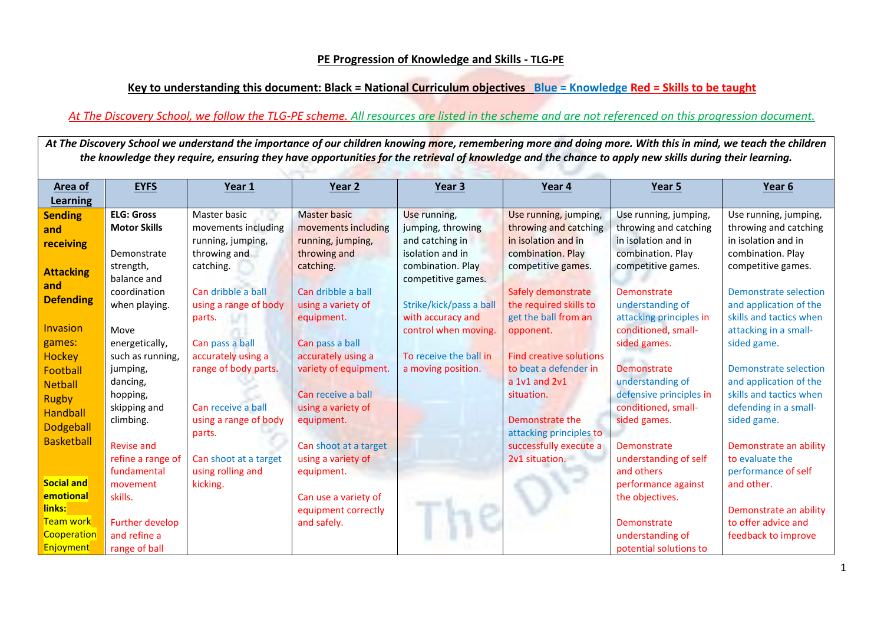## **PE Progression of Knowledge and Skills - TLG-PE**

## **Key to understanding this document: Black = National Curriculum objectives Blue = Knowledge Red = Skills to be taught**

## *At The Discovery School, we follow the TLG-PE scheme. All resources are listed in the scheme and are not referenced on this progression document.*

At The Discovery School we understand the importance of our children knowing more, remembering more and doing more. With this in mind, we teach the children *the knowledge they require, ensuring they have opportunities for the retrieval of knowledge and the chance to apply new skills during their learning.*

| Area of           | <b>EYFS</b>            | Year 1                | Year 2                | Year 3                  | Year 4                         | Year 5                  | Year 6                  |
|-------------------|------------------------|-----------------------|-----------------------|-------------------------|--------------------------------|-------------------------|-------------------------|
| Learning          |                        |                       |                       |                         |                                |                         |                         |
| <b>Sending</b>    | <b>ELG: Gross</b>      | Master basic          | <b>Master basic</b>   | Use running,            | Use running, jumping,          | Use running, jumping,   | Use running, jumping,   |
| and               | <b>Motor Skills</b>    | movements including   | movements including   | jumping, throwing       | throwing and catching          | throwing and catching   | throwing and catching   |
| receiving         |                        | running, jumping,     | running, jumping,     | and catching in         | in isolation and in            | in isolation and in     | in isolation and in     |
|                   | Demonstrate            | throwing and          | throwing and          | isolation and in        | combination. Play              | combination. Play       | combination. Play       |
| <b>Attacking</b>  | strength,              | catching.             | catching.             | combination. Play       | competitive games.             | competitive games.      | competitive games.      |
| and               | balance and            |                       |                       | competitive games.      |                                |                         |                         |
| <b>Defending</b>  | coordination           | Can dribble a ball    | Can dribble a ball    |                         | Safely demonstrate             | Demonstrate             | Demonstrate selection   |
|                   | when playing.          | using a range of body | using a variety of    | Strike/kick/pass a ball | the required skills to         | understanding of        | and application of the  |
|                   |                        | parts.                | equipment.            | with accuracy and       | get the ball from an           | attacking principles in | skills and tactics when |
| Invasion          | Move                   |                       |                       | control when moving.    | opponent.                      | conditioned, small-     | attacking in a small-   |
| games:            | energetically,         | Can pass a ball       | Can pass a ball       |                         |                                | sided games.            | sided game.             |
| Hockey            | such as running,       | accurately using a    | accurately using a    | To receive the ball in  | <b>Find creative solutions</b> |                         |                         |
| Football          | jumping,               | range of body parts.  | variety of equipment. | a moving position.      | to beat a defender in          | Demonstrate             | Demonstrate selection   |
| <b>Netball</b>    | dancing,               |                       |                       |                         | a 1v1 and 2v1                  | understanding of        | and application of the  |
| <b>Rugby</b>      | hopping,               |                       | Can receive a ball    |                         | situation.                     | defensive principles in | skills and tactics when |
| Handball          | skipping and           | Can receive a ball    | using a variety of    |                         |                                | conditioned, small-     | defending in a small-   |
| <b>Dodgeball</b>  | climbing.              | using a range of body | equipment.            |                         | Demonstrate the                | sided games.            | sided game.             |
| <b>Basketball</b> |                        | parts.                |                       |                         | attacking principles to        |                         |                         |
|                   | <b>Revise and</b>      |                       | Can shoot at a target |                         | successfully execute a         | Demonstrate             | Demonstrate an ability  |
|                   | refine a range of      | Can shoot at a target | using a variety of    |                         | 2v1 situation.                 | understanding of self   | to evaluate the         |
|                   | fundamental            | using rolling and     | equipment.            |                         |                                | and others              | performance of self     |
| <b>Social and</b> | movement               | kicking.              |                       |                         |                                | performance against     | and other.              |
| emotional         | skills.                |                       | Can use a variety of  |                         |                                | the objectives.         |                         |
| links:            |                        |                       | equipment correctly   |                         |                                |                         | Demonstrate an ability  |
| <b>Team work</b>  | <b>Further develop</b> |                       | and safely.           |                         |                                | Demonstrate             | to offer advice and     |
| Cooperation       | and refine a           |                       |                       |                         |                                | understanding of        | feedback to improve     |
| Enjoyment         | range of ball          |                       |                       |                         |                                | potential solutions to  |                         |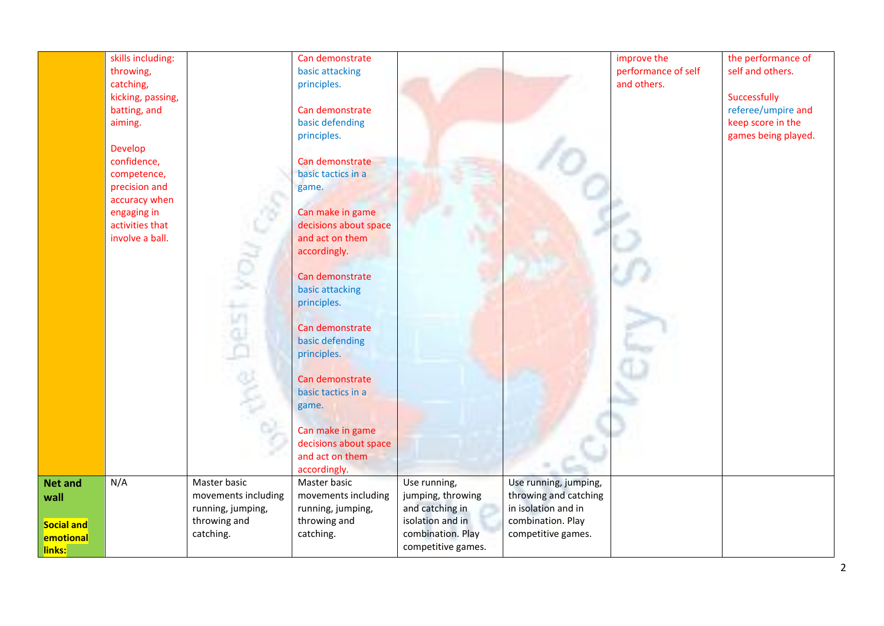|                   | skills including: |                     | Can demonstrate       |                    |                       | improve the         | the performance of  |
|-------------------|-------------------|---------------------|-----------------------|--------------------|-----------------------|---------------------|---------------------|
|                   | throwing,         |                     | basic attacking       |                    |                       | performance of self | self and others.    |
|                   | catching,         |                     | principles.           |                    |                       | and others.         |                     |
|                   | kicking, passing, |                     |                       |                    |                       |                     | Successfully        |
|                   | batting, and      |                     | Can demonstrate       |                    |                       |                     | referee/umpire and  |
|                   | aiming.           |                     | basic defending       |                    |                       |                     | keep score in the   |
|                   |                   |                     | principles.           |                    |                       |                     | games being played. |
|                   | Develop           |                     |                       |                    |                       |                     |                     |
|                   | confidence,       |                     | Can demonstrate       |                    |                       |                     |                     |
|                   | competence,       |                     | basic tactics in a    |                    |                       |                     |                     |
|                   | precision and     |                     | game.                 |                    |                       |                     |                     |
|                   | accuracy when     |                     |                       |                    |                       |                     |                     |
|                   | engaging in       |                     | Can make in game      |                    |                       |                     |                     |
|                   | activities that   |                     | decisions about space |                    |                       |                     |                     |
|                   | involve a ball.   |                     | and act on them       |                    |                       |                     |                     |
|                   |                   |                     | accordingly.          |                    |                       |                     |                     |
|                   |                   |                     |                       |                    |                       |                     |                     |
|                   |                   |                     | Can demonstrate       |                    |                       |                     |                     |
|                   |                   |                     | basic attacking       |                    |                       |                     |                     |
|                   |                   |                     | principles.           |                    |                       |                     |                     |
|                   |                   |                     |                       |                    |                       |                     |                     |
|                   |                   |                     | Can demonstrate       |                    |                       |                     |                     |
|                   |                   |                     | basic defending       |                    |                       |                     |                     |
|                   |                   |                     | principles.           |                    |                       |                     |                     |
|                   |                   |                     |                       |                    |                       |                     |                     |
|                   |                   | œ                   | Can demonstrate       |                    |                       |                     |                     |
|                   |                   |                     | basic tactics in a    |                    |                       |                     |                     |
|                   |                   |                     | game.                 |                    |                       |                     |                     |
|                   |                   |                     |                       |                    |                       |                     |                     |
|                   |                   |                     | Can make in game      |                    |                       |                     |                     |
|                   |                   |                     | decisions about space |                    |                       |                     |                     |
|                   |                   |                     | and act on them       |                    |                       |                     |                     |
|                   |                   |                     | accordingly.          |                    |                       |                     |                     |
| <b>Net and</b>    | N/A               | Master basic        | Master basic          | Use running,       | Use running, jumping, |                     |                     |
| wall              |                   | movements including | movements including   | jumping, throwing  | throwing and catching |                     |                     |
|                   |                   | running, jumping,   | running, jumping,     | and catching in    | in isolation and in   |                     |                     |
|                   |                   | throwing and        | throwing and          | isolation and in   | combination. Play     |                     |                     |
| <b>Social and</b> |                   | catching.           | catching.             | combination. Play  | competitive games.    |                     |                     |
| emotional         |                   |                     |                       | competitive games. |                       |                     |                     |
| links:            |                   |                     |                       |                    |                       |                     |                     |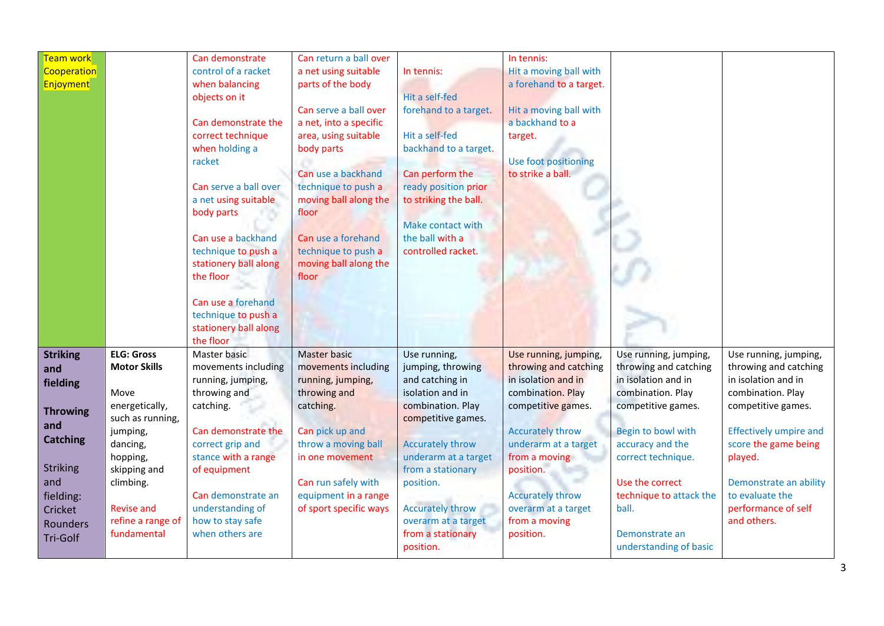| Team work        |                     | Can demonstrate       | Can return a ball over |                         | In tennis:              |                         |                               |
|------------------|---------------------|-----------------------|------------------------|-------------------------|-------------------------|-------------------------|-------------------------------|
| Cooperation      |                     | control of a racket   | a net using suitable   | In tennis:              | Hit a moving ball with  |                         |                               |
| <b>Enjoyment</b> |                     | when balancing        | parts of the body      |                         | a forehand to a target. |                         |                               |
|                  |                     | objects on it         |                        | Hit a self-fed          |                         |                         |                               |
|                  |                     |                       | Can serve a ball over  | forehand to a target.   | Hit a moving ball with  |                         |                               |
|                  |                     | Can demonstrate the   | a net, into a specific |                         | a backhand to a         |                         |                               |
|                  |                     | correct technique     | area, using suitable   | Hit a self-fed          | target.                 |                         |                               |
|                  |                     | when holding a        | body parts             | backhand to a target.   |                         |                         |                               |
|                  |                     | racket                |                        |                         | Use foot positioning    |                         |                               |
|                  |                     |                       | Can use a backhand     | Can perform the         | to strike a ball.       |                         |                               |
|                  |                     | Can serve a ball over | technique to push a    | ready position prior    |                         |                         |                               |
|                  |                     | a net using suitable  | moving ball along the  | to striking the ball.   |                         |                         |                               |
|                  |                     | body parts            | floor                  |                         |                         |                         |                               |
|                  |                     |                       |                        | Make contact with       |                         |                         |                               |
|                  |                     | Can use a backhand    | Can use a forehand     | the ball with a         |                         |                         |                               |
|                  |                     | technique to push a   | technique to push a    | controlled racket.      |                         |                         |                               |
|                  |                     | stationery ball along | moving ball along the  |                         |                         |                         |                               |
|                  |                     | the floor             | floor                  |                         |                         |                         |                               |
|                  |                     |                       |                        |                         |                         |                         |                               |
|                  |                     | Can use a forehand    |                        |                         |                         |                         |                               |
|                  |                     | technique to push a   |                        |                         |                         |                         |                               |
|                  |                     | stationery ball along |                        |                         |                         |                         |                               |
|                  |                     | the floor             |                        |                         |                         |                         |                               |
| <b>Striking</b>  | <b>ELG: Gross</b>   | Master basic          | <b>Master basic</b>    | Use running,            | Use running, jumping,   | Use running, jumping,   | Use running, jumping,         |
| and              | <b>Motor Skills</b> | movements including   | movements including    | jumping, throwing       | throwing and catching   | throwing and catching   | throwing and catching         |
| fielding         |                     | running, jumping,     | running, jumping,      | and catching in         | in isolation and in     | in isolation and in     | in isolation and in           |
|                  | Move                | throwing and          | throwing and           | isolation and in        | combination. Play       | combination. Play       | combination. Play             |
| <b>Throwing</b>  | energetically,      | catching.             | catching.              | combination. Play       | competitive games.      | competitive games.      | competitive games.            |
| and              | such as running,    |                       |                        | competitive games.      |                         |                         |                               |
|                  | jumping,            | Can demonstrate the   | Can pick up and        |                         | <b>Accurately throw</b> | Begin to bowl with      | <b>Effectively umpire and</b> |
| <b>Catching</b>  | dancing,            | correct grip and      | throw a moving ball    | <b>Accurately throw</b> | underarm at a target    | accuracy and the        | score the game being          |
|                  | hopping,            | stance with a range   | in one movement        | underarm at a target    | from a moving           | correct technique.      | played.                       |
| <b>Striking</b>  | skipping and        | of equipment          |                        | from a stationary       | position.               |                         |                               |
| and              | climbing.           |                       | Can run safely with    | position.               |                         | Use the correct         | Demonstrate an ability        |
| fielding:        |                     | Can demonstrate an    | equipment in a range   |                         | <b>Accurately throw</b> | technique to attack the | to evaluate the               |
| Cricket          | <b>Revise and</b>   | understanding of      | of sport specific ways | <b>Accurately throw</b> | overarm at a target     | ball.                   | performance of self           |
| Rounders         | refine a range of   | how to stay safe      |                        | overarm at a target     | from a moving           |                         | and others.                   |
| Tri-Golf         | fundamental         | when others are       |                        | from a stationary       | position.               | Demonstrate an          |                               |
|                  |                     |                       |                        | position.               |                         | understanding of basic  |                               |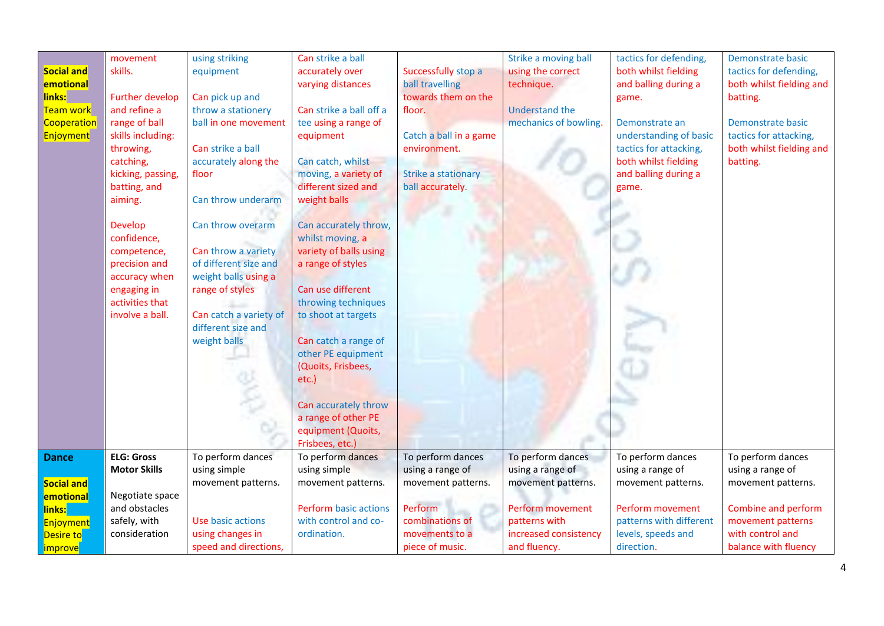|                      | movement               | using striking         | Can strike a ball            |                            | Strike a moving ball  | tactics for defending,  | Demonstrate basic        |
|----------------------|------------------------|------------------------|------------------------------|----------------------------|-----------------------|-------------------------|--------------------------|
| <b>Social and</b>    | skills.                | equipment              | accurately over              | Successfully stop a        | using the correct     | both whilst fielding    | tactics for defending,   |
| emotional            |                        |                        | varying distances            | ball travelling            | technique.            | and balling during a    | both whilst fielding and |
| links:               | <b>Further develop</b> | Can pick up and        |                              | towards them on the        |                       | game.                   | batting.                 |
| Team work            | and refine a           | throw a stationery     | Can strike a ball off a      | floor.                     | <b>Understand the</b> |                         |                          |
| Cooperation          | range of ball          | ball in one movement   | tee using a range of         |                            | mechanics of bowling. | Demonstrate an          | Demonstrate basic        |
| <b>Enjoyment</b>     | skills including:      |                        | equipment                    | Catch a ball in a game     |                       | understanding of basic  | tactics for attacking,   |
|                      | throwing,              | Can strike a ball      |                              | environment.               |                       | tactics for attacking,  | both whilst fielding and |
|                      | catching,              | accurately along the   | Can catch, whilst            |                            |                       | both whilst fielding    | batting.                 |
|                      | kicking, passing,      | floor                  | moving, a variety of         | <b>Strike a stationary</b> |                       | and balling during a    |                          |
|                      | batting, and           |                        | different sized and          | ball accurately.           |                       | game.                   |                          |
|                      | aiming.                | Can throw underarm     | weight balls                 |                            |                       |                         |                          |
|                      |                        |                        |                              |                            |                       |                         |                          |
|                      | <b>Develop</b>         | Can throw overarm      | Can accurately throw,        |                            |                       |                         |                          |
|                      | confidence,            |                        | whilst moving, a             |                            |                       |                         |                          |
|                      | competence,            | Can throw a variety    | variety of balls using       |                            |                       |                         |                          |
|                      | precision and          | of different size and  | a range of styles            |                            |                       |                         |                          |
|                      | accuracy when          | weight balls using a   |                              |                            |                       |                         |                          |
|                      | engaging in            | range of styles        | Can use different            |                            |                       |                         |                          |
|                      | activities that        |                        | throwing techniques          |                            |                       |                         |                          |
|                      | involve a ball.        | Can catch a variety of | to shoot at targets          |                            |                       |                         |                          |
|                      |                        | different size and     |                              |                            |                       |                         |                          |
|                      |                        | weight balls           | Can catch a range of         |                            |                       |                         |                          |
|                      |                        |                        | other PE equipment           |                            |                       |                         |                          |
|                      |                        |                        | (Quoits, Frisbees,           |                            |                       |                         |                          |
|                      |                        |                        | etc.)                        |                            |                       |                         |                          |
|                      |                        |                        |                              |                            |                       |                         |                          |
|                      |                        |                        | Can accurately throw         |                            |                       |                         |                          |
|                      |                        |                        | a range of other PE          |                            |                       |                         |                          |
|                      |                        |                        | equipment (Quoits,           |                            |                       |                         |                          |
|                      |                        |                        | Frisbees, etc.)              |                            |                       |                         |                          |
| <b>Dance</b>         | <b>ELG: Gross</b>      | To perform dances      | To perform dances            | To perform dances          | To perform dances     | To perform dances       | To perform dances        |
|                      | <b>Motor Skills</b>    | using simple           | using simple                 | using a range of           | using a range of      | using a range of        | using a range of         |
| <b>Social and</b>    |                        | movement patterns.     | movement patterns.           | movement patterns.         | movement patterns.    | movement patterns.      | movement patterns.       |
| emotional            | Negotiate space        |                        |                              |                            |                       |                         |                          |
| links:               | and obstacles          |                        | <b>Perform basic actions</b> | Perform                    | Perform movement      | Perform movement        | Combine and perform      |
| Enjoyment            | safely, with           | Use basic actions      | with control and co-         | combinations of            | patterns with         | patterns with different | movement patterns        |
| Desire to            | consideration          | using changes in       | ordination.                  | movements to a             | increased consistency | levels, speeds and      | with control and         |
| <mark>improve</mark> |                        | speed and directions,  |                              | piece of music.            | and fluency.          | direction.              | balance with fluency     |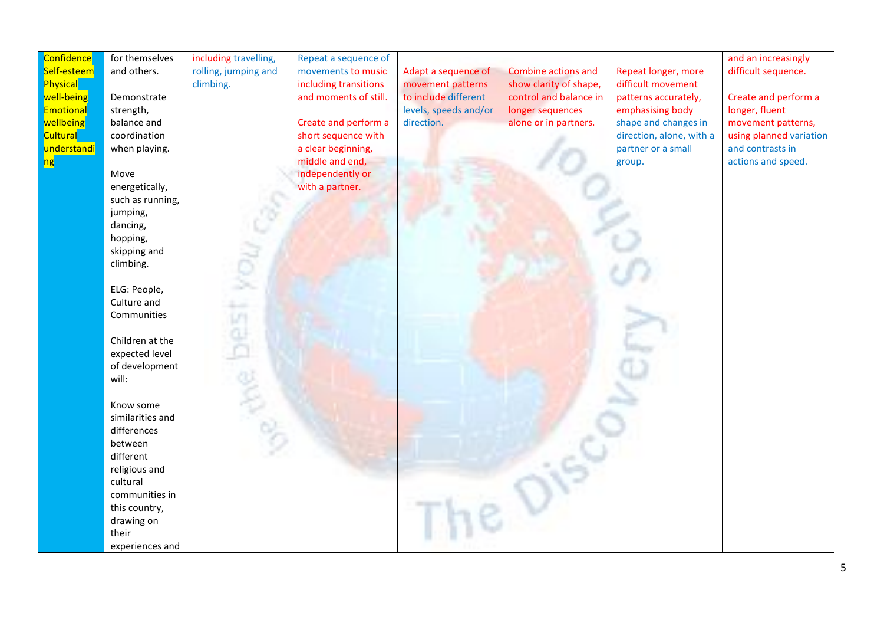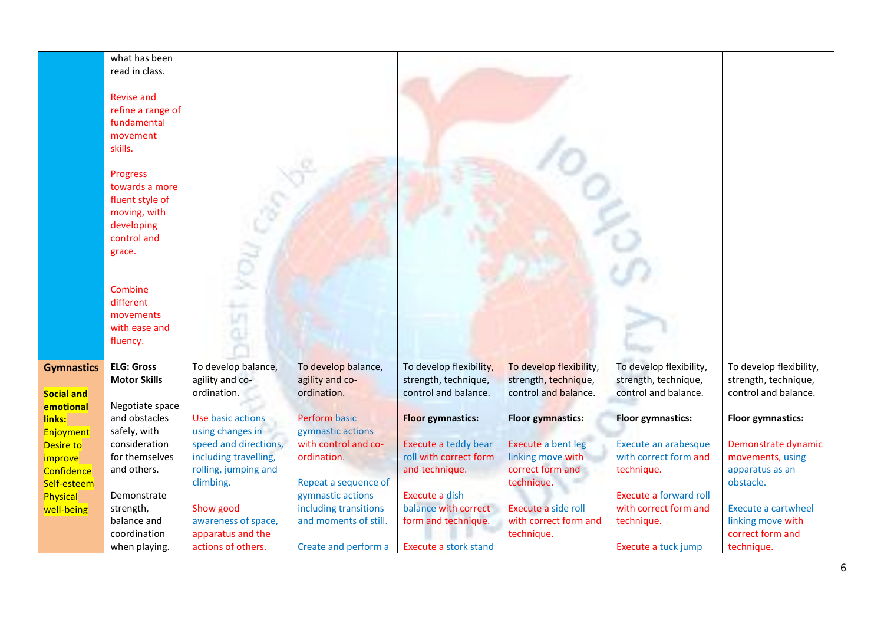|                     | what has been<br>read in class.<br><b>Revise and</b><br>refine a range of<br>fundamental<br>movement<br>skills.<br>Progress<br>towards a more<br>fluent style of<br>moving, with<br>developing<br>control and<br>grace.<br>Combine<br>different<br>movements<br>with ease and<br>fluency. |                                        |                                                |                                                 |                                                 |                                                        |                                                 |
|---------------------|-------------------------------------------------------------------------------------------------------------------------------------------------------------------------------------------------------------------------------------------------------------------------------------------|----------------------------------------|------------------------------------------------|-------------------------------------------------|-------------------------------------------------|--------------------------------------------------------|-------------------------------------------------|
| <b>Gymnastics</b>   | <b>ELG: Gross</b><br><b>Motor Skills</b>                                                                                                                                                                                                                                                  | To develop balance,<br>agility and co- | To develop balance,<br>agility and co-         | To develop flexibility,<br>strength, technique, | To develop flexibility,<br>strength, technique, | To develop flexibility,<br>strength, technique,        | To develop flexibility,<br>strength, technique, |
| <b>Social and</b>   |                                                                                                                                                                                                                                                                                           | ordination.                            | ordination.                                    | control and balance.                            | control and balance.                            | control and balance.                                   | control and balance.                            |
| emotional           | Negotiate space                                                                                                                                                                                                                                                                           |                                        | <b>Perform basic</b>                           |                                                 |                                                 |                                                        |                                                 |
| links:<br>Enjoyment | and obstacles<br>safely, with                                                                                                                                                                                                                                                             | Use basic actions<br>using changes in  | gymnastic actions                              | <b>Floor gymnastics:</b>                        | <b>Floor gymnastics:</b>                        | <b>Floor gymnastics:</b>                               | <b>Floor gymnastics:</b>                        |
| Desire to           | consideration                                                                                                                                                                                                                                                                             | speed and directions,                  | with control and co-                           | Execute a teddy bear                            | <b>Execute a bent leg</b>                       | Execute an arabesque                                   | Demonstrate dynamic                             |
| improve             | for themselves                                                                                                                                                                                                                                                                            | including travelling,                  | ordination.                                    | roll with correct form                          | linking move with                               | with correct form and                                  | movements, using                                |
| Confidence          | and others.                                                                                                                                                                                                                                                                               | rolling, jumping and                   |                                                | and technique.                                  | correct form and                                | technique.                                             | apparatus as an                                 |
| Self-esteem         |                                                                                                                                                                                                                                                                                           | climbing.                              | Repeat a sequence of                           |                                                 | technique.                                      |                                                        | obstacle.                                       |
| Physical            | Demonstrate                                                                                                                                                                                                                                                                               |                                        | gymnastic actions                              | Execute a dish                                  |                                                 | <b>Execute a forward roll</b><br>with correct form and |                                                 |
| well-being          | strength,<br>balance and                                                                                                                                                                                                                                                                  | Show good<br>awareness of space,       | including transitions<br>and moments of still. | balance with correct<br>form and technique.     | Execute a side roll<br>with correct form and    | technique.                                             | <b>Execute a cartwheel</b><br>linking move with |
|                     | coordination                                                                                                                                                                                                                                                                              | apparatus and the                      |                                                |                                                 | technique.                                      |                                                        | correct form and                                |
|                     | when playing.                                                                                                                                                                                                                                                                             | actions of others.                     | Create and perform a                           | <b>Execute a stork stand</b>                    |                                                 | Execute a tuck jump                                    | technique.                                      |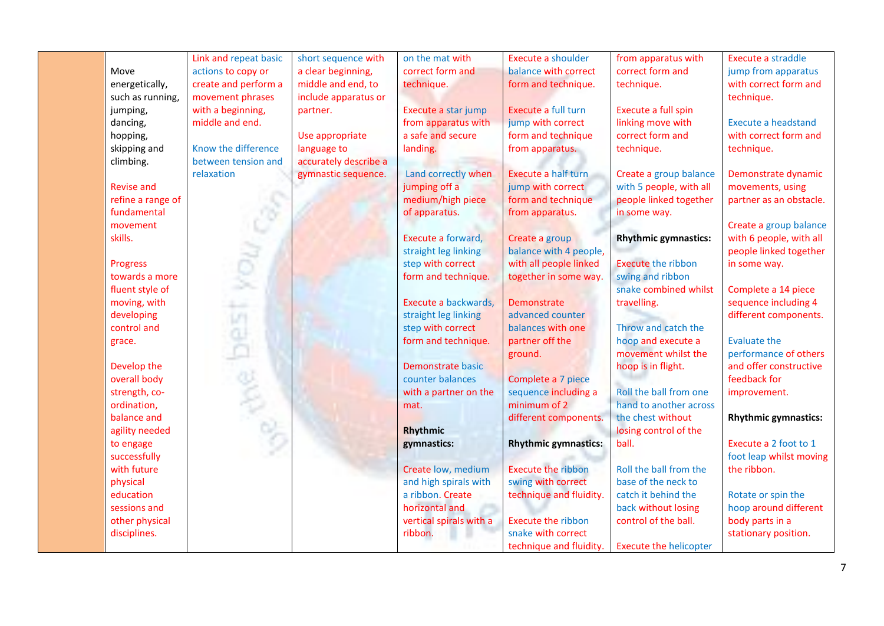|                   | Link and repeat basic | short sequence with   | on the mat with         | Execute a shoulder          | from apparatus with           | Execute a straddle          |
|-------------------|-----------------------|-----------------------|-------------------------|-----------------------------|-------------------------------|-----------------------------|
| Move              | actions to copy or    | a clear beginning,    | correct form and        | balance with correct        | correct form and              | jump from apparatus         |
| energetically,    | create and perform a  | middle and end, to    | technique.              | form and technique.         | technique.                    | with correct form and       |
| such as running,  | movement phrases      | include apparatus or  |                         |                             |                               | technique.                  |
| jumping,          | with a beginning,     | partner.              | Execute a star jump     | Execute a full turn         | Execute a full spin           |                             |
| dancing,          | middle and end.       |                       | from apparatus with     | jump with correct           | linking move with             | <b>Execute a headstand</b>  |
| hopping,          |                       | Use appropriate       | a safe and secure       | form and technique          | correct form and              | with correct form and       |
| skipping and      | Know the difference   | language to           | landing.                | from apparatus.             | technique.                    | technique.                  |
| climbing.         | between tension and   | accurately describe a |                         |                             |                               |                             |
|                   | relaxation            | gymnastic sequence.   | Land correctly when     | Execute a half turn         | Create a group balance        | Demonstrate dynamic         |
| <b>Revise and</b> |                       |                       | jumping off a           | jump with correct           | with 5 people, with all       | movements, using            |
| refine a range of |                       |                       | medium/high piece       | form and technique          | people linked together        | partner as an obstacle.     |
| fundamental       |                       |                       | of apparatus.           | from apparatus.             | in some way.                  |                             |
| movement          |                       |                       |                         |                             |                               | Create a group balance      |
| skills.           |                       |                       | Execute a forward,      | Create a group              | <b>Rhythmic gymnastics:</b>   | with 6 people, with all     |
|                   |                       |                       | straight leg linking    | balance with 4 people,      |                               | people linked together      |
| <b>Progress</b>   |                       |                       | step with correct       | with all people linked      | <b>Execute the ribbon</b>     | in some way.                |
| towards a more    |                       |                       | form and technique.     | together in some way.       | swing and ribbon              |                             |
| fluent style of   |                       |                       |                         |                             | snake combined whilst         | Complete a 14 piece         |
| moving, with      |                       |                       | Execute a backwards,    | <b>Demonstrate</b>          | travelling.                   | sequence including 4        |
| developing        |                       |                       | straight leg linking    | advanced counter            |                               | different components.       |
| control and       | yes                   |                       | step with correct       | balances with one           | Throw and catch the           |                             |
| grace.            |                       |                       | form and technique.     | partner off the             | hoop and execute a            | <b>Evaluate the</b>         |
|                   |                       |                       |                         | ground.                     | movement whilst the           | performance of others       |
| Develop the       |                       |                       | Demonstrate basic       |                             | hoop is in flight.            | and offer constructive      |
| overall body      |                       |                       | counter balances        | Complete a 7 piece          |                               | feedback for                |
| strength, co-     |                       |                       | with a partner on the   | sequence including a        | Roll the ball from one        | improvement.                |
| ordination,       |                       |                       | mat.                    | minimum of 2                | hand to another across        |                             |
| balance and       | <b>BOL 200</b>        |                       |                         | different components.       | the chest without             | <b>Rhythmic gymnastics:</b> |
| agility needed    |                       |                       | Rhythmic                |                             | losing control of the         |                             |
| to engage         |                       |                       | gymnastics:             | <b>Rhythmic gymnastics:</b> | ball.                         | Execute a 2 foot to 1       |
| successfully      |                       |                       |                         |                             |                               | foot leap whilst moving     |
| with future       |                       |                       | Create low, medium      | <b>Execute the ribbon</b>   | Roll the ball from the        | the ribbon.                 |
| physical          |                       |                       | and high spirals with   | swing with correct          | base of the neck to           |                             |
| education         |                       |                       | a ribbon. Create        | technique and fluidity.     | catch it behind the           | Rotate or spin the          |
| sessions and      |                       |                       | horizontal and          |                             | back without losing           | hoop around different       |
| other physical    |                       |                       | vertical spirals with a | <b>Execute the ribbon</b>   | control of the ball.          | body parts in a             |
| disciplines.      |                       |                       | ribbon.                 | snake with correct          |                               | stationary position.        |
|                   |                       |                       |                         | technique and fluidity.     | <b>Execute the helicopter</b> |                             |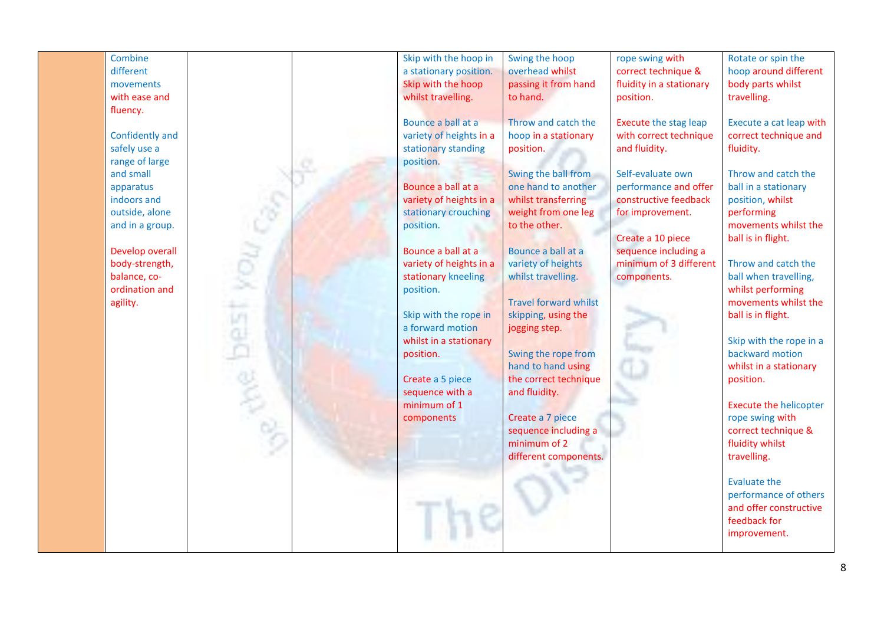| Combine<br>different<br>movements<br>with ease and<br>fluency.<br>Confidently and<br>safely use a<br>range of large<br>and small<br>apparatus<br>indoors and<br>outside, alone<br>and in a group.<br>Develop overall<br>body-strength,<br>balance, co-<br>ordination and<br>agility. |  | Skip with the hoop in<br>a stationary position.<br>Skip with the hoop<br>whilst travelling.<br>Bounce a ball at a<br>variety of heights in a<br>stationary standing<br>position.<br>Bounce a ball at a<br>variety of heights in a<br>stationary crouching<br>position.<br>Bounce a ball at a<br>variety of heights in a<br>stationary kneeling<br>position.<br>Skip with the rope in<br>a forward motion<br>whilst in a stationary<br>position. | Swing the hoop<br>overhead whilst<br>passing it from hand<br>to hand.<br>Throw and catch the<br>hoop in a stationary<br>position.<br>Swing the ball from<br>one hand to another<br>whilst transferring<br>weight from one leg<br>to the other.<br>Bounce a ball at a<br>variety of heights<br>whilst travelling.<br><b>Travel forward whilst</b><br>skipping, using the<br>jogging step.<br>Swing the rope from<br>hand to hand using | rope swing with<br>correct technique &<br>fluidity in a stationary<br>position.<br><b>Execute the stag leap</b><br>with correct technique<br>and fluidity.<br>Self-evaluate own<br>performance and offer<br>constructive feedback<br>for improvement.<br>Create a 10 piece<br>sequence including a<br>minimum of 3 different<br>components. | Rotate or spin the<br>hoop around different<br>body parts whilst<br>travelling.<br>Execute a cat leap with<br>correct technique and<br>fluidity.<br>Throw and catch the<br>ball in a stationary<br>position, whilst<br>performing<br>movements whilst the<br>ball is in flight.<br>Throw and catch the<br>ball when travelling,<br>whilst performing<br>movements whilst the<br>ball is in flight.<br>Skip with the rope in a<br>backward motion<br>whilst in a stationary |
|--------------------------------------------------------------------------------------------------------------------------------------------------------------------------------------------------------------------------------------------------------------------------------------|--|-------------------------------------------------------------------------------------------------------------------------------------------------------------------------------------------------------------------------------------------------------------------------------------------------------------------------------------------------------------------------------------------------------------------------------------------------|---------------------------------------------------------------------------------------------------------------------------------------------------------------------------------------------------------------------------------------------------------------------------------------------------------------------------------------------------------------------------------------------------------------------------------------|---------------------------------------------------------------------------------------------------------------------------------------------------------------------------------------------------------------------------------------------------------------------------------------------------------------------------------------------|----------------------------------------------------------------------------------------------------------------------------------------------------------------------------------------------------------------------------------------------------------------------------------------------------------------------------------------------------------------------------------------------------------------------------------------------------------------------------|
|                                                                                                                                                                                                                                                                                      |  |                                                                                                                                                                                                                                                                                                                                                                                                                                                 |                                                                                                                                                                                                                                                                                                                                                                                                                                       |                                                                                                                                                                                                                                                                                                                                             |                                                                                                                                                                                                                                                                                                                                                                                                                                                                            |
|                                                                                                                                                                                                                                                                                      |  |                                                                                                                                                                                                                                                                                                                                                                                                                                                 |                                                                                                                                                                                                                                                                                                                                                                                                                                       |                                                                                                                                                                                                                                                                                                                                             |                                                                                                                                                                                                                                                                                                                                                                                                                                                                            |
|                                                                                                                                                                                                                                                                                      |  |                                                                                                                                                                                                                                                                                                                                                                                                                                                 |                                                                                                                                                                                                                                                                                                                                                                                                                                       |                                                                                                                                                                                                                                                                                                                                             |                                                                                                                                                                                                                                                                                                                                                                                                                                                                            |
|                                                                                                                                                                                                                                                                                      |  |                                                                                                                                                                                                                                                                                                                                                                                                                                                 |                                                                                                                                                                                                                                                                                                                                                                                                                                       |                                                                                                                                                                                                                                                                                                                                             |                                                                                                                                                                                                                                                                                                                                                                                                                                                                            |
|                                                                                                                                                                                                                                                                                      |  |                                                                                                                                                                                                                                                                                                                                                                                                                                                 |                                                                                                                                                                                                                                                                                                                                                                                                                                       |                                                                                                                                                                                                                                                                                                                                             |                                                                                                                                                                                                                                                                                                                                                                                                                                                                            |
|                                                                                                                                                                                                                                                                                      |  |                                                                                                                                                                                                                                                                                                                                                                                                                                                 |                                                                                                                                                                                                                                                                                                                                                                                                                                       |                                                                                                                                                                                                                                                                                                                                             |                                                                                                                                                                                                                                                                                                                                                                                                                                                                            |
|                                                                                                                                                                                                                                                                                      |  |                                                                                                                                                                                                                                                                                                                                                                                                                                                 |                                                                                                                                                                                                                                                                                                                                                                                                                                       |                                                                                                                                                                                                                                                                                                                                             |                                                                                                                                                                                                                                                                                                                                                                                                                                                                            |
|                                                                                                                                                                                                                                                                                      |  |                                                                                                                                                                                                                                                                                                                                                                                                                                                 |                                                                                                                                                                                                                                                                                                                                                                                                                                       |                                                                                                                                                                                                                                                                                                                                             |                                                                                                                                                                                                                                                                                                                                                                                                                                                                            |
|                                                                                                                                                                                                                                                                                      |  |                                                                                                                                                                                                                                                                                                                                                                                                                                                 |                                                                                                                                                                                                                                                                                                                                                                                                                                       |                                                                                                                                                                                                                                                                                                                                             |                                                                                                                                                                                                                                                                                                                                                                                                                                                                            |
|                                                                                                                                                                                                                                                                                      |  |                                                                                                                                                                                                                                                                                                                                                                                                                                                 |                                                                                                                                                                                                                                                                                                                                                                                                                                       |                                                                                                                                                                                                                                                                                                                                             |                                                                                                                                                                                                                                                                                                                                                                                                                                                                            |
|                                                                                                                                                                                                                                                                                      |  | Create a 5 piece                                                                                                                                                                                                                                                                                                                                                                                                                                | the correct technique                                                                                                                                                                                                                                                                                                                                                                                                                 |                                                                                                                                                                                                                                                                                                                                             | position.                                                                                                                                                                                                                                                                                                                                                                                                                                                                  |
|                                                                                                                                                                                                                                                                                      |  | sequence with a                                                                                                                                                                                                                                                                                                                                                                                                                                 | and fluidity.                                                                                                                                                                                                                                                                                                                                                                                                                         |                                                                                                                                                                                                                                                                                                                                             |                                                                                                                                                                                                                                                                                                                                                                                                                                                                            |
|                                                                                                                                                                                                                                                                                      |  | minimum of 1                                                                                                                                                                                                                                                                                                                                                                                                                                    |                                                                                                                                                                                                                                                                                                                                                                                                                                       |                                                                                                                                                                                                                                                                                                                                             | <b>Execute the helicopter</b>                                                                                                                                                                                                                                                                                                                                                                                                                                              |
|                                                                                                                                                                                                                                                                                      |  | components                                                                                                                                                                                                                                                                                                                                                                                                                                      | Create a 7 piece                                                                                                                                                                                                                                                                                                                                                                                                                      |                                                                                                                                                                                                                                                                                                                                             | rope swing with                                                                                                                                                                                                                                                                                                                                                                                                                                                            |
|                                                                                                                                                                                                                                                                                      |  |                                                                                                                                                                                                                                                                                                                                                                                                                                                 | sequence including a                                                                                                                                                                                                                                                                                                                                                                                                                  |                                                                                                                                                                                                                                                                                                                                             | correct technique &                                                                                                                                                                                                                                                                                                                                                                                                                                                        |
|                                                                                                                                                                                                                                                                                      |  |                                                                                                                                                                                                                                                                                                                                                                                                                                                 | minimum of 2                                                                                                                                                                                                                                                                                                                                                                                                                          |                                                                                                                                                                                                                                                                                                                                             | fluidity whilst                                                                                                                                                                                                                                                                                                                                                                                                                                                            |
|                                                                                                                                                                                                                                                                                      |  |                                                                                                                                                                                                                                                                                                                                                                                                                                                 | different components.                                                                                                                                                                                                                                                                                                                                                                                                                 |                                                                                                                                                                                                                                                                                                                                             | travelling.                                                                                                                                                                                                                                                                                                                                                                                                                                                                |
|                                                                                                                                                                                                                                                                                      |  |                                                                                                                                                                                                                                                                                                                                                                                                                                                 |                                                                                                                                                                                                                                                                                                                                                                                                                                       |                                                                                                                                                                                                                                                                                                                                             |                                                                                                                                                                                                                                                                                                                                                                                                                                                                            |
|                                                                                                                                                                                                                                                                                      |  |                                                                                                                                                                                                                                                                                                                                                                                                                                                 |                                                                                                                                                                                                                                                                                                                                                                                                                                       |                                                                                                                                                                                                                                                                                                                                             | <b>Evaluate the</b><br>performance of others                                                                                                                                                                                                                                                                                                                                                                                                                               |
|                                                                                                                                                                                                                                                                                      |  |                                                                                                                                                                                                                                                                                                                                                                                                                                                 |                                                                                                                                                                                                                                                                                                                                                                                                                                       |                                                                                                                                                                                                                                                                                                                                             | and offer constructive                                                                                                                                                                                                                                                                                                                                                                                                                                                     |
|                                                                                                                                                                                                                                                                                      |  |                                                                                                                                                                                                                                                                                                                                                                                                                                                 |                                                                                                                                                                                                                                                                                                                                                                                                                                       |                                                                                                                                                                                                                                                                                                                                             | feedback for                                                                                                                                                                                                                                                                                                                                                                                                                                                               |
|                                                                                                                                                                                                                                                                                      |  |                                                                                                                                                                                                                                                                                                                                                                                                                                                 |                                                                                                                                                                                                                                                                                                                                                                                                                                       |                                                                                                                                                                                                                                                                                                                                             | improvement.                                                                                                                                                                                                                                                                                                                                                                                                                                                               |
|                                                                                                                                                                                                                                                                                      |  |                                                                                                                                                                                                                                                                                                                                                                                                                                                 |                                                                                                                                                                                                                                                                                                                                                                                                                                       |                                                                                                                                                                                                                                                                                                                                             |                                                                                                                                                                                                                                                                                                                                                                                                                                                                            |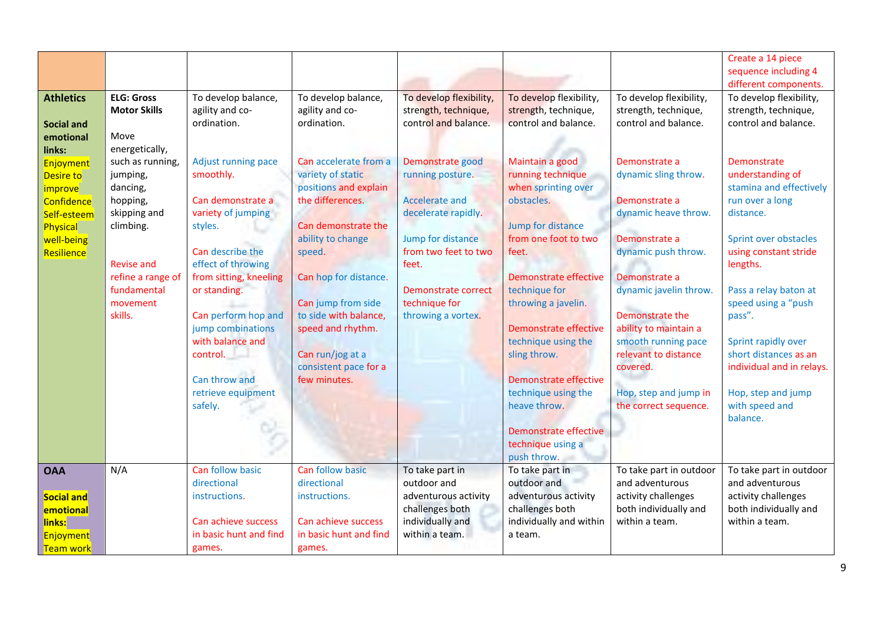|                   |                     |                        |                        |                         |                              |                         | Create a 14 piece         |
|-------------------|---------------------|------------------------|------------------------|-------------------------|------------------------------|-------------------------|---------------------------|
|                   |                     |                        |                        |                         |                              |                         | sequence including 4      |
|                   |                     |                        |                        |                         |                              |                         | different components.     |
| <b>Athletics</b>  | <b>ELG: Gross</b>   | To develop balance,    | To develop balance,    | To develop flexibility, | To develop flexibility,      | To develop flexibility, | To develop flexibility,   |
|                   | <b>Motor Skills</b> | agility and co-        | agility and co-        | strength, technique,    | strength, technique,         | strength, technique,    | strength, technique,      |
| <b>Social and</b> |                     | ordination.            | ordination.            | control and balance.    | control and balance.         | control and balance.    | control and balance.      |
| emotional         | Move                |                        |                        |                         |                              |                         |                           |
| links:            | energetically,      |                        |                        |                         |                              |                         |                           |
| Enjoyment         | such as running,    | Adjust running pace    | Can accelerate from a  | Demonstrate good        | Maintain a good              | Demonstrate a           | Demonstrate               |
| Desire to         | jumping,            | smoothly.              | variety of static      | running posture.        | running technique            | dynamic sling throw.    | understanding of          |
| improve           | dancing,            |                        | positions and explain  |                         | when sprinting over          |                         | stamina and effectively   |
| Confidence        | hopping,            | Can demonstrate a      | the differences.       | Accelerate and          | obstacles.                   | Demonstrate a           | run over a long           |
| Self-esteem       | skipping and        | variety of jumping     |                        | decelerate rapidly.     |                              | dynamic heave throw.    | distance.                 |
| Physical          | climbing.           | styles.                | Can demonstrate the    |                         | Jump for distance            |                         |                           |
| well-being        |                     |                        | ability to change      | Jump for distance       | from one foot to two         | Demonstrate a           | Sprint over obstacles     |
| Resilience        |                     | Can describe the       | speed.                 | from two feet to two    | feet.                        | dynamic push throw.     | using constant stride     |
|                   | <b>Revise and</b>   | effect of throwing     |                        | feet.                   |                              |                         | lengths.                  |
|                   | refine a range of   | from sitting, kneeling | Can hop for distance.  |                         | Demonstrate effective        | Demonstrate a           |                           |
|                   | fundamental         | or standing.           |                        | Demonstrate correct     | technique for                | dynamic javelin throw.  | Pass a relay baton at     |
|                   | movement            |                        | Can jump from side     | technique for           | throwing a javelin.          |                         | speed using a "push"      |
|                   | skills.             | Can perform hop and    | to side with balance,  | throwing a vortex.      |                              | Demonstrate the         | pass".                    |
|                   |                     | jump combinations      | speed and rhythm.      |                         | <b>Demonstrate effective</b> | ability to maintain a   |                           |
|                   |                     | with balance and       |                        |                         | technique using the          | smooth running pace     | Sprint rapidly over       |
|                   |                     | control.               | Can run/jog at a       |                         | sling throw.                 | relevant to distance    | short distances as an     |
|                   |                     |                        | consistent pace for a  |                         |                              | covered.                | individual and in relays. |
|                   |                     | Can throw and          | few minutes.           |                         | Demonstrate effective        |                         |                           |
|                   |                     | retrieve equipment     |                        |                         | technique using the          | Hop, step and jump in   | Hop, step and jump        |
|                   |                     | safely.                |                        |                         | heave throw.                 | the correct sequence.   | with speed and            |
|                   |                     |                        |                        |                         |                              |                         | balance.                  |
|                   |                     |                        |                        |                         | Demonstrate effective        |                         |                           |
|                   |                     |                        |                        |                         | technique using a            |                         |                           |
|                   |                     |                        |                        |                         | push throw.                  |                         |                           |
| <b>OAA</b>        | N/A                 | Can follow basic       | Can follow basic       | To take part in         | To take part in              | To take part in outdoor | To take part in outdoor   |
|                   |                     | directional            | directional            | outdoor and             | outdoor and                  | and adventurous         | and adventurous           |
| <b>Social and</b> |                     | instructions.          | instructions.          | adventurous activity    | adventurous activity         | activity challenges     | activity challenges       |
| emotional         |                     |                        |                        | challenges both         | challenges both              | both individually and   | both individually and     |
| links:            |                     | Can achieve success    | Can achieve success    | individually and        | individually and within      | within a team.          | within a team.            |
| Enjoyment         |                     | in basic hunt and find | in basic hunt and find | within a team.          | a team.                      |                         |                           |
| <b>Team work</b>  |                     | games.                 | games.                 |                         |                              |                         |                           |